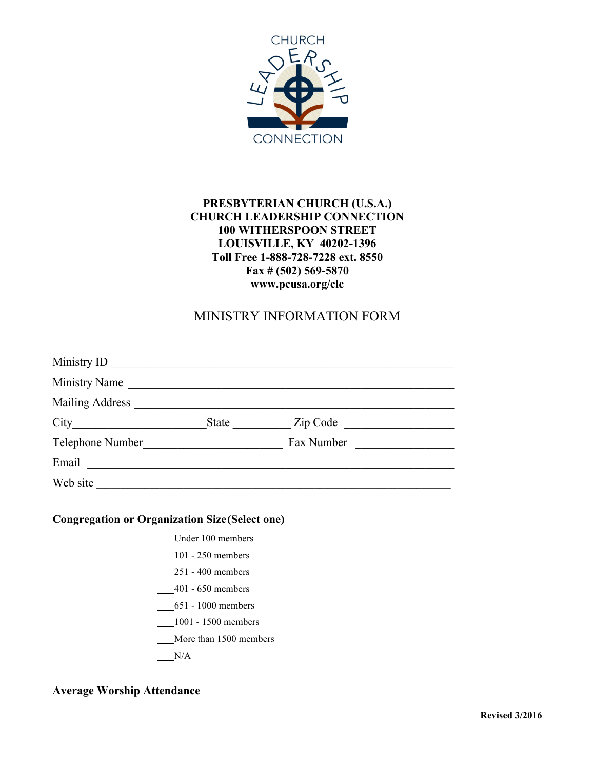

### **PRESBYTERIAN CHURCH (U.S.A.) CHURCH LEADERSHIP CONNECTION 100 WITHERSPOON STREET LOUISVILLE, KY 40202-1396 Toll Free 1-888-728-7228 ext. 8550 Fax # (502) 569-5870 www.pcusa.org/clc**

## MINISTRY INFORMATION FORM

| Ministry Name    |                |  |
|------------------|----------------|--|
| Mailing Address  |                |  |
| City             | State Zip Code |  |
| Telephone Number | Fax Number     |  |
| Email            |                |  |
| Web site         |                |  |

#### **Congregation or Organization Size(Select one)**

- Under 100 members
- 101 250 members
- 251 400 members
- 401 650 members
- 651 1000 members
- 1001 1500 members
- More than 1500 members
- $N/A$

#### **Average Worship Attendance**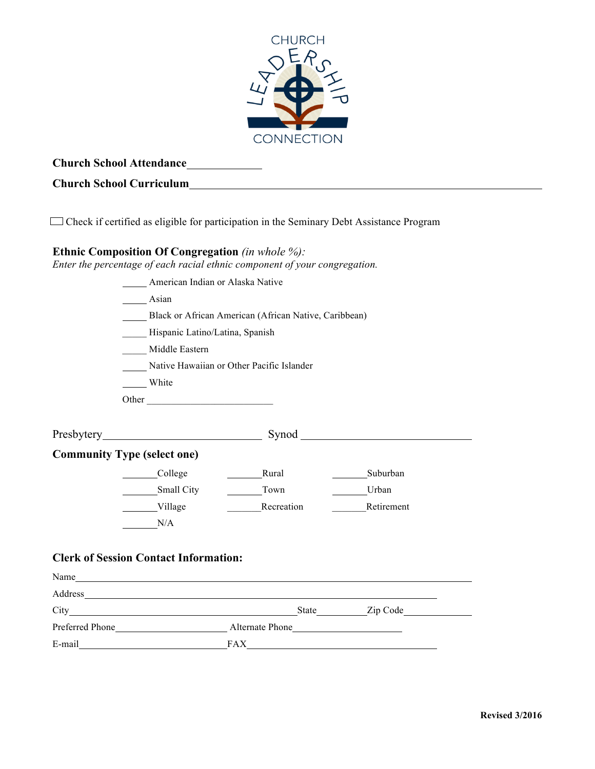

## **Church School Attendance**

## **Church School Curriculum**

Check if certified as eligible for participation in the Seminary Debt Assistance Program

#### **Ethnic Composition Of Congregation** *(in whole %):*

*Enter the percentage of each racial ethnic component of your congregation.*

|                               | American Indian or Alaska Native             |                                                       |                                                                                                                                                                                                                                      |  |  |  |  |
|-------------------------------|----------------------------------------------|-------------------------------------------------------|--------------------------------------------------------------------------------------------------------------------------------------------------------------------------------------------------------------------------------------|--|--|--|--|
|                               | Asian                                        |                                                       |                                                                                                                                                                                                                                      |  |  |  |  |
|                               |                                              | Black or African American (African Native, Caribbean) |                                                                                                                                                                                                                                      |  |  |  |  |
|                               |                                              | Hispanic Latino/Latina, Spanish                       |                                                                                                                                                                                                                                      |  |  |  |  |
|                               | Middle Eastern                               |                                                       |                                                                                                                                                                                                                                      |  |  |  |  |
|                               |                                              | Native Hawaiian or Other Pacific Islander             |                                                                                                                                                                                                                                      |  |  |  |  |
|                               | White                                        |                                                       |                                                                                                                                                                                                                                      |  |  |  |  |
|                               | Other                                        |                                                       |                                                                                                                                                                                                                                      |  |  |  |  |
|                               |                                              |                                                       |                                                                                                                                                                                                                                      |  |  |  |  |
|                               |                                              | Synod                                                 | <u> 1989 - Johann Stoff, deutscher Stoffen und der Stoffen und der Stoffen und der Stoffen und der Stoffen und der Stoffen und der Stoffen und der Stoffen und der Stoffen und der Stoffen und der Stoffen und der Stoffen und d</u> |  |  |  |  |
|                               | <b>Community Type (select one)</b>           |                                                       |                                                                                                                                                                                                                                      |  |  |  |  |
|                               | College                                      | Rural                                                 | Suburban                                                                                                                                                                                                                             |  |  |  |  |
|                               | Small City                                   | Town                                                  | Urban                                                                                                                                                                                                                                |  |  |  |  |
|                               | Village                                      | Recreation                                            | Retirement                                                                                                                                                                                                                           |  |  |  |  |
|                               | N/A                                          |                                                       |                                                                                                                                                                                                                                      |  |  |  |  |
|                               |                                              |                                                       |                                                                                                                                                                                                                                      |  |  |  |  |
|                               | <b>Clerk of Session Contact Information:</b> |                                                       |                                                                                                                                                                                                                                      |  |  |  |  |
| $\mathbf{M}$ and $\mathbf{A}$ |                                              |                                                       |                                                                                                                                                                                                                                      |  |  |  |  |

| Name            |                          |
|-----------------|--------------------------|
| Address         |                          |
| City            | Zip Code<br><b>State</b> |
| Preferred Phone | Alternate Phone          |
| E-mail          | <b>FAX</b>               |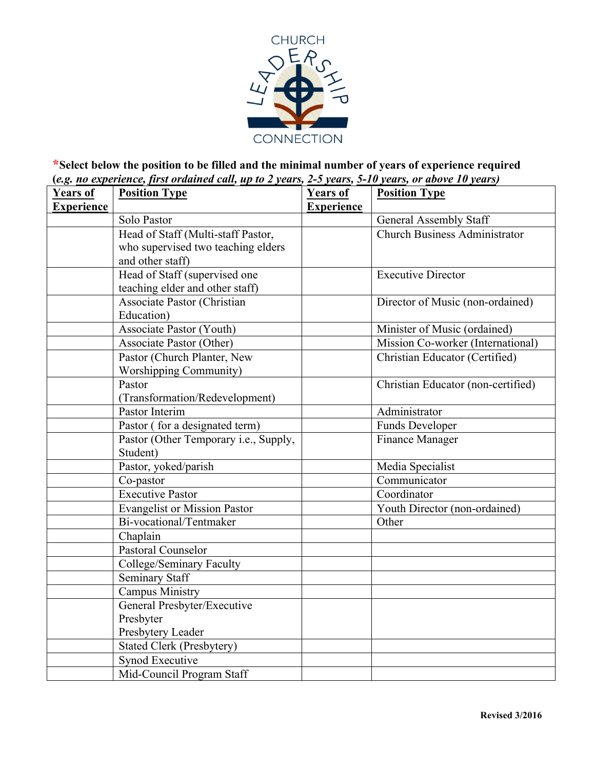

### **\*Select below the position to be filled and the minimal number of years of experience required (***e.g. no experience, first ordained call, up to 2 years, 2-5 years, 5-10 years, or above 10 years)*

| Years of          | <b>Position Type</b>                  | <b>Years of</b>   | <b>Position Type</b>               |
|-------------------|---------------------------------------|-------------------|------------------------------------|
| <b>Experience</b> |                                       | <b>Experience</b> |                                    |
|                   | Solo Pastor                           |                   | <b>General Assembly Staff</b>      |
|                   | Head of Staff (Multi-staff Pastor,    |                   | Church Business Administrator      |
|                   | who supervised two teaching elders    |                   |                                    |
|                   | and other staff)                      |                   |                                    |
|                   | Head of Staff (supervised one         |                   | <b>Executive Director</b>          |
|                   | teaching elder and other staff)       |                   |                                    |
|                   | Associate Pastor (Christian           |                   | Director of Music (non-ordained)   |
|                   | Education)                            |                   |                                    |
|                   | <b>Associate Pastor (Youth)</b>       |                   | Minister of Music (ordained)       |
|                   | Associate Pastor (Other)              |                   | Mission Co-worker (International)  |
|                   | Pastor (Church Planter, New           |                   | Christian Educator (Certified)     |
|                   | <b>Worshipping Community)</b>         |                   |                                    |
|                   | Pastor                                |                   | Christian Educator (non-certified) |
|                   | (Transformation/Redevelopment)        |                   |                                    |
|                   | Pastor Interim                        |                   | Administrator                      |
|                   | Pastor (for a designated term)        |                   | <b>Funds Developer</b>             |
|                   | Pastor (Other Temporary i.e., Supply, |                   | <b>Finance Manager</b>             |
|                   | Student)                              |                   |                                    |
|                   | Pastor, yoked/parish                  |                   | Media Specialist                   |
|                   | Co-pastor                             |                   | Communicator                       |
|                   | <b>Executive Pastor</b>               |                   | $\overline{\text{Coordinator}}$    |
|                   | Evangelist or Mission Pastor          |                   | Youth Director (non-ordained)      |
|                   | Bi-vocational/Tentmaker               |                   | Other                              |
|                   | Chaplain                              |                   |                                    |
|                   | Pastoral Counselor                    |                   |                                    |
|                   | College/Seminary Faculty              |                   |                                    |
|                   | <b>Seminary Staff</b>                 |                   |                                    |
|                   | <b>Campus Ministry</b>                |                   |                                    |
|                   | General Presbyter/Executive           |                   |                                    |
|                   | Presbyter                             |                   |                                    |
|                   | Presbytery Leader                     |                   |                                    |
|                   | <b>Stated Clerk (Presbytery)</b>      |                   |                                    |
|                   | Synod Executive                       |                   |                                    |
|                   | Mid-Council Program Staff             |                   |                                    |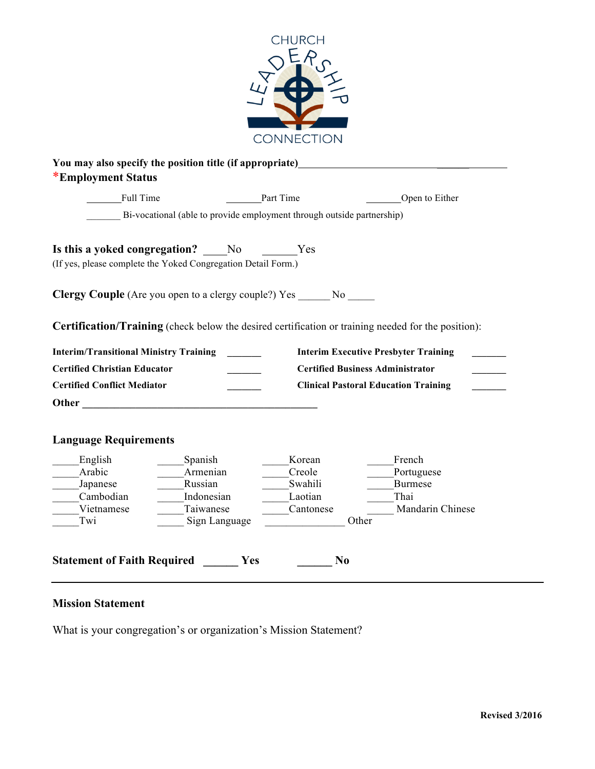

| <b>Full Time</b>                              |                                                                                                                                                                                                                               | Part Time                                                                                                                             | Open to Either                                                                                             |
|-----------------------------------------------|-------------------------------------------------------------------------------------------------------------------------------------------------------------------------------------------------------------------------------|---------------------------------------------------------------------------------------------------------------------------------------|------------------------------------------------------------------------------------------------------------|
|                                               | Bi-vocational (able to provide employment through outside partnership)                                                                                                                                                        |                                                                                                                                       |                                                                                                            |
|                                               | Is this a yoked congregation? No Yes<br>(If yes, please complete the Yoked Congregation Detail Form.)                                                                                                                         |                                                                                                                                       |                                                                                                            |
|                                               |                                                                                                                                                                                                                               |                                                                                                                                       |                                                                                                            |
|                                               | <b>Clergy Couple</b> (Are you open to a clergy couple?) Yes No                                                                                                                                                                |                                                                                                                                       |                                                                                                            |
|                                               |                                                                                                                                                                                                                               |                                                                                                                                       | <b>Certification/Training</b> (check below the desired certification or training needed for the position): |
|                                               |                                                                                                                                                                                                                               |                                                                                                                                       |                                                                                                            |
| <b>Interim/Transitional Ministry Training</b> |                                                                                                                                                                                                                               |                                                                                                                                       | <b>Interim Executive Presbyter Training</b>                                                                |
|                                               |                                                                                                                                                                                                                               |                                                                                                                                       | <b>Certified Business Administrator</b>                                                                    |
| <b>Certified Christian Educator</b>           |                                                                                                                                                                                                                               |                                                                                                                                       |                                                                                                            |
| <b>Certified Conflict Mediator</b>            |                                                                                                                                                                                                                               |                                                                                                                                       | <b>Clinical Pastoral Education Training</b>                                                                |
|                                               | Other and the contract of the contract of the contract of the contract of the contract of the contract of the contract of the contract of the contract of the contract of the contract of the contract of the contract of the |                                                                                                                                       |                                                                                                            |
| <b>Language Requirements</b>                  |                                                                                                                                                                                                                               |                                                                                                                                       |                                                                                                            |
| English                                       | Spanish                                                                                                                                                                                                                       | Korean                                                                                                                                | French                                                                                                     |
| Arabic                                        | Armenian                                                                                                                                                                                                                      | Creole                                                                                                                                | Portuguese                                                                                                 |
| Japanese                                      | Russian                                                                                                                                                                                                                       | Swahili                                                                                                                               | <b>Burmese</b>                                                                                             |
| Cambodian                                     | Indonesian                                                                                                                                                                                                                    | Laotian                                                                                                                               | Thai                                                                                                       |
| Vietnamese<br>Twi                             | Taiwanese<br>Sign Language                                                                                                                                                                                                    | Cantonese<br>$\begin{array}{c} \begin{array}{c} \begin{array}{c} \begin{array}{c} \end{array} \\ \end{array} \end{array} \end{array}$ | <b>Mandarin Chinese</b><br>Other                                                                           |

## **Mission Statement**

What is your congregation's or organization's Mission Statement?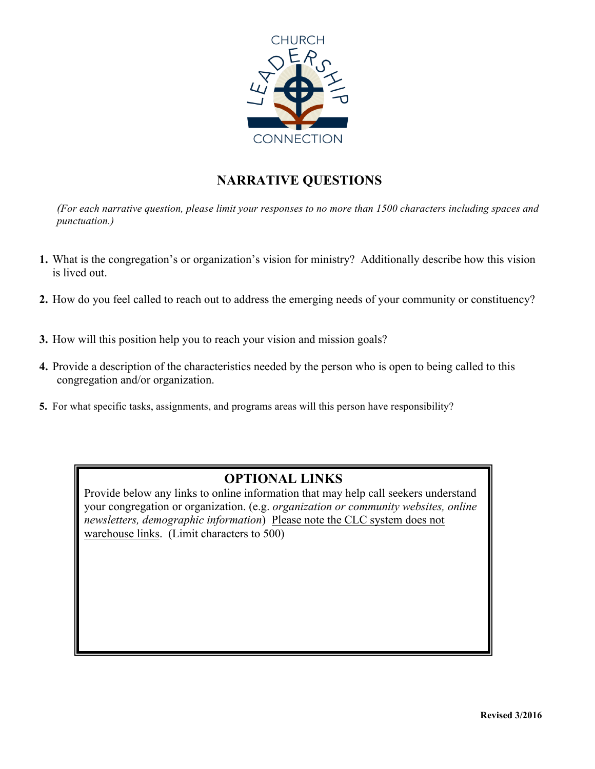

# **NARRATIVE QUESTIONS**

*(For each narrative question, please limit your responses to no more than 1500 characters including spaces and punctuation.)*

- **1.** What is the congregation's or organization's vision for ministry? Additionally describe how this vision is lived out.
- **2.** How do you feel called to reach out to address the emerging needs of your community or constituency?
- **3.** How will this position help you to reach your vision and mission goals?
- **4.** Provide a description of the characteristics needed by the person who is open to being called to this congregation and/or organization.
- **5.** For what specific tasks, assignments, and programs areas will this person have responsibility?

# **OPTIONAL LINKS**

Provide below any links to online information that may help call seekers understand your congregation or organization. (e.g. *organization or community websites, online newsletters, demographic information*) Please note the CLC system does not warehouse links. (Limit characters to 500)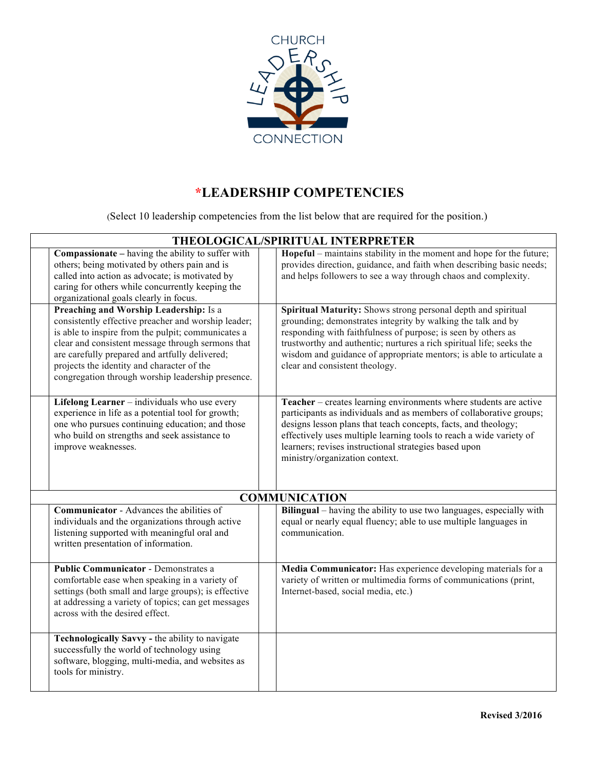

# **\*LEADERSHIP COMPETENCIES**

(Select 10 leadership competencies from the list below that are required for the position.)

| THEOLOGICAL/SPIRITUAL INTERPRETER                                                                                                                                                                                                                                                                                                                             |  |                                                                                                                                                                                                                                                                                                                                                                                 |  |
|---------------------------------------------------------------------------------------------------------------------------------------------------------------------------------------------------------------------------------------------------------------------------------------------------------------------------------------------------------------|--|---------------------------------------------------------------------------------------------------------------------------------------------------------------------------------------------------------------------------------------------------------------------------------------------------------------------------------------------------------------------------------|--|
| <b>Compassionate</b> – having the ability to suffer with<br>others; being motivated by others pain and is<br>called into action as advocate; is motivated by<br>caring for others while concurrently keeping the<br>organizational goals clearly in focus.                                                                                                    |  | Hopeful – maintains stability in the moment and hope for the future;<br>provides direction, guidance, and faith when describing basic needs;<br>and helps followers to see a way through chaos and complexity.                                                                                                                                                                  |  |
| Preaching and Worship Leadership: Is a<br>consistently effective preacher and worship leader;<br>is able to inspire from the pulpit; communicates a<br>clear and consistent message through sermons that<br>are carefully prepared and artfully delivered;<br>projects the identity and character of the<br>congregation through worship leadership presence. |  | Spiritual Maturity: Shows strong personal depth and spiritual<br>grounding; demonstrates integrity by walking the talk and by<br>responding with faithfulness of purpose; is seen by others as<br>trustworthy and authentic; nurtures a rich spiritual life; seeks the<br>wisdom and guidance of appropriate mentors; is able to articulate a<br>clear and consistent theology. |  |
| Lifelong Learner - individuals who use every<br>experience in life as a potential tool for growth;<br>one who pursues continuing education; and those<br>who build on strengths and seek assistance to<br>improve weaknesses.                                                                                                                                 |  | Teacher – creates learning environments where students are active<br>participants as individuals and as members of collaborative groups;<br>designs lesson plans that teach concepts, facts, and theology;<br>effectively uses multiple learning tools to reach a wide variety of<br>learners; revises instructional strategies based upon<br>ministry/organization context.    |  |
|                                                                                                                                                                                                                                                                                                                                                               |  | <b>COMMUNICATION</b>                                                                                                                                                                                                                                                                                                                                                            |  |
| <b>Communicator</b> - Advances the abilities of<br>individuals and the organizations through active<br>listening supported with meaningful oral and<br>written presentation of information.                                                                                                                                                                   |  | Bilingual – having the ability to use two languages, especially with<br>equal or nearly equal fluency; able to use multiple languages in<br>communication.                                                                                                                                                                                                                      |  |
| <b>Public Communicator - Demonstrates a</b><br>comfortable ease when speaking in a variety of<br>settings (both small and large groups); is effective<br>at addressing a variety of topics; can get messages<br>across with the desired effect.                                                                                                               |  | Media Communicator: Has experience developing materials for a<br>variety of written or multimedia forms of communications (print,<br>Internet-based, social media, etc.)                                                                                                                                                                                                        |  |
| Technologically Savvy - the ability to navigate<br>successfully the world of technology using<br>software, blogging, multi-media, and websites as<br>tools for ministry.                                                                                                                                                                                      |  |                                                                                                                                                                                                                                                                                                                                                                                 |  |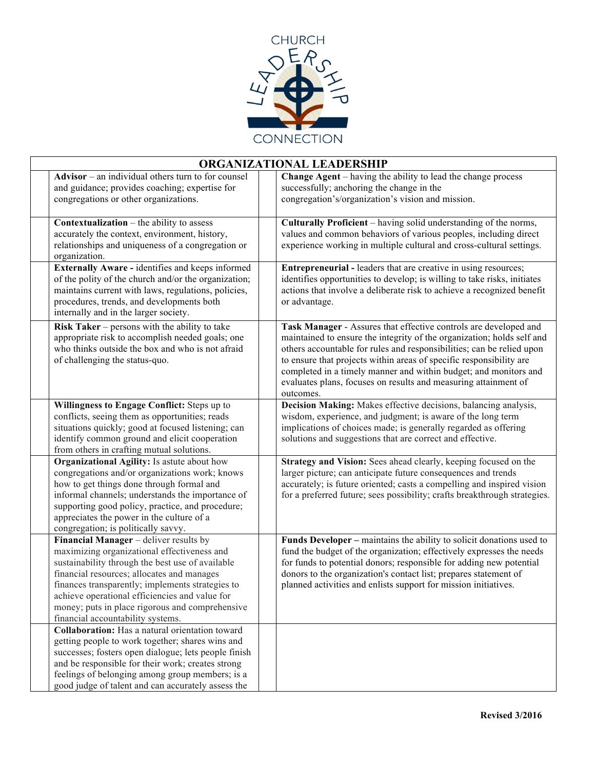

| ORGANIZATIONAL LEADERSHIP                                                                                                                                                                                                                                                                                                                                                             |                                                                                                                                                                                                                                                                                                                                                                                                                                                |  |  |
|---------------------------------------------------------------------------------------------------------------------------------------------------------------------------------------------------------------------------------------------------------------------------------------------------------------------------------------------------------------------------------------|------------------------------------------------------------------------------------------------------------------------------------------------------------------------------------------------------------------------------------------------------------------------------------------------------------------------------------------------------------------------------------------------------------------------------------------------|--|--|
| $\bf{Advisor}$ – an individual others turn to for counsel<br>and guidance; provides coaching; expertise for<br>congregations or other organizations.                                                                                                                                                                                                                                  | <b>Change Agent</b> – having the ability to lead the change process<br>successfully; anchoring the change in the<br>congregation's/organization's vision and mission.                                                                                                                                                                                                                                                                          |  |  |
| <b>Contextualization</b> $-$ the ability to assess<br>accurately the context, environment, history,<br>relationships and uniqueness of a congregation or<br>organization.                                                                                                                                                                                                             | Culturally Proficient - having solid understanding of the norms,<br>values and common behaviors of various peoples, including direct<br>experience working in multiple cultural and cross-cultural settings.                                                                                                                                                                                                                                   |  |  |
| Externally Aware - identifies and keeps informed<br>of the polity of the church and/or the organization;<br>maintains current with laws, regulations, policies,<br>procedures, trends, and developments both<br>internally and in the larger society.                                                                                                                                 | <b>Entrepreneurial</b> - leaders that are creative in using resources;<br>identifies opportunities to develop; is willing to take risks, initiates<br>actions that involve a deliberate risk to achieve a recognized benefit<br>or advantage.                                                                                                                                                                                                  |  |  |
| Risk Taker – persons with the ability to take<br>appropriate risk to accomplish needed goals; one<br>who thinks outside the box and who is not afraid<br>of challenging the status-quo.                                                                                                                                                                                               | Task Manager - Assures that effective controls are developed and<br>maintained to ensure the integrity of the organization; holds self and<br>others accountable for rules and responsibilities; can be relied upon<br>to ensure that projects within areas of specific responsibility are<br>completed in a timely manner and within budget; and monitors and<br>evaluates plans, focuses on results and measuring attainment of<br>outcomes. |  |  |
| Willingness to Engage Conflict: Steps up to<br>conflicts, seeing them as opportunities; reads<br>situations quickly; good at focused listening; can<br>identify common ground and elicit cooperation<br>from others in crafting mutual solutions.                                                                                                                                     | Decision Making: Makes effective decisions, balancing analysis,<br>wisdom, experience, and judgment; is aware of the long term<br>implications of choices made; is generally regarded as offering<br>solutions and suggestions that are correct and effective.                                                                                                                                                                                 |  |  |
| Organizational Agility: Is astute about how<br>congregations and/or organizations work; knows<br>how to get things done through formal and<br>informal channels; understands the importance of<br>supporting good policy, practice, and procedure;<br>appreciates the power in the culture of a<br>congregation; is politically savvy.                                                | Strategy and Vision: Sees ahead clearly, keeping focused on the<br>larger picture; can anticipate future consequences and trends<br>accurately; is future oriented; casts a compelling and inspired vision<br>for a preferred future; sees possibility; crafts breakthrough strategies.                                                                                                                                                        |  |  |
| Financial Manager - deliver results by<br>maximizing organizational effectiveness and<br>sustainability through the best use of available<br>financial resources; allocates and manages<br>finances transparently; implements strategies to<br>achieve operational efficiencies and value for<br>money; puts in place rigorous and comprehensive<br>financial accountability systems. | Funds Developer - maintains the ability to solicit donations used to<br>fund the budget of the organization; effectively expresses the needs<br>for funds to potential donors; responsible for adding new potential<br>donors to the organization's contact list; prepares statement of<br>planned activities and enlists support for mission initiatives.                                                                                     |  |  |
| Collaboration: Has a natural orientation toward<br>getting people to work together; shares wins and<br>successes; fosters open dialogue; lets people finish<br>and be responsible for their work; creates strong<br>feelings of belonging among group members; is a<br>good judge of talent and can accurately assess the                                                             |                                                                                                                                                                                                                                                                                                                                                                                                                                                |  |  |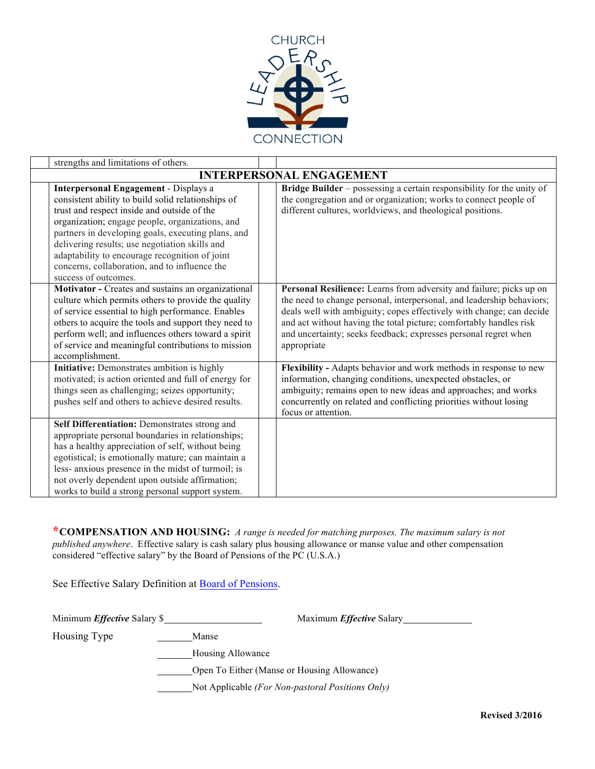

| strengths and limitations of others.                                                                                                                                                                                                                                                                                                                                                                                                    |                                                                                                                                                                                                                                                                                                                                                                              |
|-----------------------------------------------------------------------------------------------------------------------------------------------------------------------------------------------------------------------------------------------------------------------------------------------------------------------------------------------------------------------------------------------------------------------------------------|------------------------------------------------------------------------------------------------------------------------------------------------------------------------------------------------------------------------------------------------------------------------------------------------------------------------------------------------------------------------------|
|                                                                                                                                                                                                                                                                                                                                                                                                                                         | <b>INTERPERSONAL ENGAGEMENT</b>                                                                                                                                                                                                                                                                                                                                              |
| <b>Interpersonal Engagement - Displays a</b><br>consistent ability to build solid relationships of<br>trust and respect inside and outside of the<br>organization; engage people, organizations, and<br>partners in developing goals, executing plans, and<br>delivering results; use negotiation skills and<br>adaptability to encourage recognition of joint<br>concerns, collaboration, and to influence the<br>success of outcomes. | Bridge Builder – possessing a certain responsibility for the unity of<br>the congregation and or organization; works to connect people of<br>different cultures, worldviews, and theological positions.                                                                                                                                                                      |
| Motivator - Creates and sustains an organizational<br>culture which permits others to provide the quality<br>of service essential to high performance. Enables<br>others to acquire the tools and support they need to<br>perform well; and influences others toward a spirit<br>of service and meaningful contributions to mission<br>accomplishment.                                                                                  | Personal Resilience: Learns from adversity and failure; picks up on<br>the need to change personal, interpersonal, and leadership behaviors;<br>deals well with ambiguity; copes effectively with change; can decide<br>and act without having the total picture; comfortably handles risk<br>and uncertainty; seeks feedback; expresses personal regret when<br>appropriate |
| Initiative: Demonstrates ambition is highly<br>motivated; is action oriented and full of energy for<br>things seen as challenging; seizes opportunity;<br>pushes self and others to achieve desired results.                                                                                                                                                                                                                            | Flexibility - Adapts behavior and work methods in response to new<br>information, changing conditions, unexpected obstacles, or<br>ambiguity; remains open to new ideas and approaches; and works<br>concurrently on related and conflicting priorities without losing<br>focus or attention.                                                                                |
| Self Differentiation: Demonstrates strong and<br>appropriate personal boundaries in relationships;<br>has a healthy appreciation of self, without being<br>egotistical; is emotionally mature; can maintain a<br>less- anxious presence in the midst of turmoil; is<br>not overly dependent upon outside affirmation;<br>works to build a strong personal support system.                                                               |                                                                                                                                                                                                                                                                                                                                                                              |

**\*COMPENSATION AND HOUSING:** *A range is needed for matching purposes. The maximum salary is not published anywhere*. Effective salary is cash salary plus housing allowance or manse value and other compensation considered "effective salary" by the Board of Pensions of the PC (U.S.A.)

See Effective Salary Definition at Board of Pensions.

Housing Type Manse

Minimum *Effective* Salary \$

Housing Allowance

**Communist Communist Communist Communist Communist Communist Communist Communist Communist Communist Communist Communist Communist Communist Communist Communist Communist Communist Communist Communist Communist Communist C** 

Not Applicable *(For Non-pastoral Positions Only)*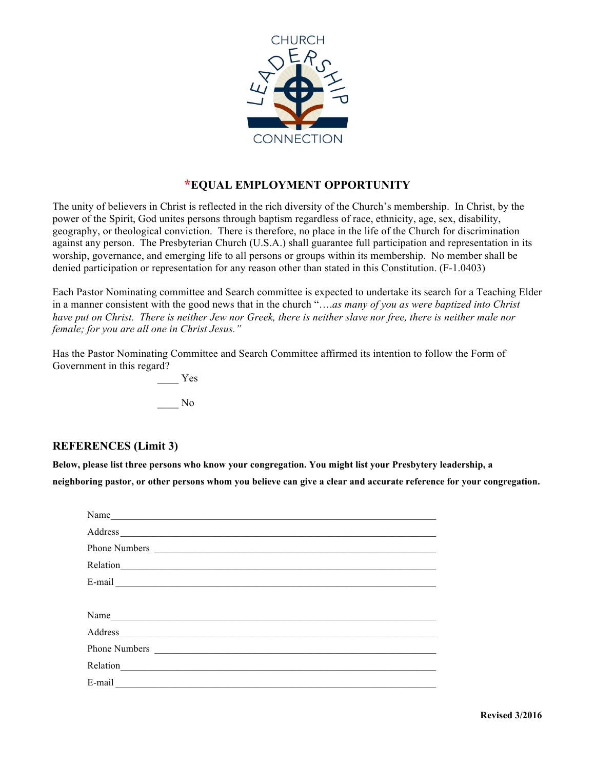

### **\*EQUAL EMPLOYMENT OPPORTUNITY**

The unity of believers in Christ is reflected in the rich diversity of the Church's membership. In Christ, by the power of the Spirit, God unites persons through baptism regardless of race, ethnicity, age, sex, disability, geography, or theological conviction. There is therefore, no place in the life of the Church for discrimination against any person. The Presbyterian Church (U.S.A.) shall guarantee full participation and representation in its worship, governance, and emerging life to all persons or groups within its membership. No member shall be denied participation or representation for any reason other than stated in this Constitution. (F-1.0403)

Each Pastor Nominating committee and Search committee is expected to undertake its search for a Teaching Elder in a manner consistent with the good news that in the church "….*as many of you as were baptized into Christ have put on Christ. There is neither Jew nor Greek, there is neither slave nor free, there is neither male nor female; for you are all one in Christ Jesus."*

Has the Pastor Nominating Committee and Search Committee affirmed its intention to follow the Form of Government in this regard?

> \_\_\_\_ Yes \_\_\_\_ No

#### **REFERENCES (Limit 3)**

**Below, please list three persons who know your congregation. You might list your Presbytery leadership, a neighboring pastor, or other persons whom you believe can give a clear and accurate reference for your congregation.**

| Name                                                                                                                                                                                                                             |  |  |
|----------------------------------------------------------------------------------------------------------------------------------------------------------------------------------------------------------------------------------|--|--|
|                                                                                                                                                                                                                                  |  |  |
|                                                                                                                                                                                                                                  |  |  |
|                                                                                                                                                                                                                                  |  |  |
|                                                                                                                                                                                                                                  |  |  |
|                                                                                                                                                                                                                                  |  |  |
| Name                                                                                                                                                                                                                             |  |  |
|                                                                                                                                                                                                                                  |  |  |
|                                                                                                                                                                                                                                  |  |  |
| Relation                                                                                                                                                                                                                         |  |  |
| $E-mail$ and $I$ and $I$ and $I$ and $I$ and $I$ and $I$ and $I$ and $I$ and $I$ and $I$ and $I$ and $I$ and $I$ and $I$ and $I$ and $I$ and $I$ and $I$ and $I$ and $I$ and $I$ and $I$ and $I$ and $I$ and $I$ and $I$ and $I$ |  |  |
|                                                                                                                                                                                                                                  |  |  |